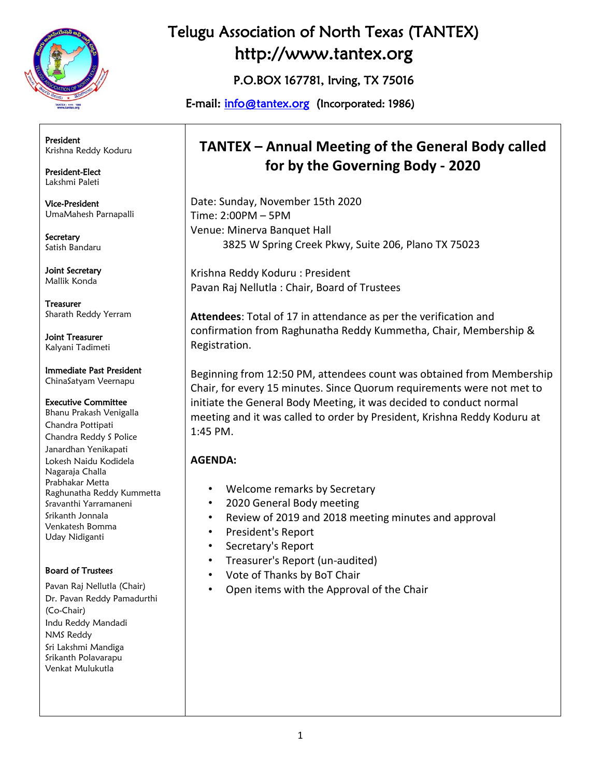

President Krishna Reddy Koduru

President-Elect Lakshmi Paleti

Vice-President UmaMahesh Parnapalli

**Secretary** Satish Bandaru

Joint Secretary Mallik Konda

Treasurer Sharath Reddy Yerram

Joint Treasurer Kalyani Tadimeti

Immediate Past President ChinaSatyam Veernapu

Executive Committee Bhanu Prakash Venigalla Chandra Pottipati Chandra Reddy S Police Janardhan Yenikapati Lokesh Naidu Kodidela Nagaraja Challa Prabhakar Metta Raghunatha Reddy Kummetta Sravanthi Yarramaneni Srikanth Jonnala Venkatesh Bomma Uday Nidiganti

#### Board of Trustees

Pavan Raj Nellutla (Chair) Dr. Pavan Reddy Pamadurthi (Co-Chair) Indu Reddy Mandadi NMS Reddy Sri Lakshmi Mandiga Srikanth Polavarapu Venkat Mulukutla

## Telugu Association of North Texas (TANTEX) http://www.tantex.org

P.O.BOX 167781, Irving, TX 75016

E-mail: [info@tantex.org](about:blank) (Incorporated: 1986)

## **TANTEX – Annual Meeting of the General Body called for by the Governing Body - 2020**

Date: Sunday, November 15th 2020 Time: 2:00PM – 5PM Venue: Minerva Banquet Hall 3825 W Spring Creek Pkwy, Suite 206, Plano TX 75023

Krishna Reddy Koduru : President Pavan Raj Nellutla : Chair, Board of Trustees

**Attendees**: Total of 17 in attendance as per the verification and confirmation from Raghunatha Reddy Kummetha, Chair, Membership & Registration.

Beginning from 12:50 PM, attendees count was obtained from Membership Chair, for every 15 minutes. Since Quorum requirements were not met to initiate the General Body Meeting, it was decided to conduct normal meeting and it was called to order by President, Krishna Reddy Koduru at 1:45 PM.

### **AGENDA:**

- Welcome remarks by Secretary
- 2020 General Body meeting
- Review of 2019 and 2018 meeting minutes and approval
- President's Report
- Secretary's Report
- Treasurer's Report (un-audited)
- Vote of Thanks by BoT Chair
- Open items with the Approval of the Chair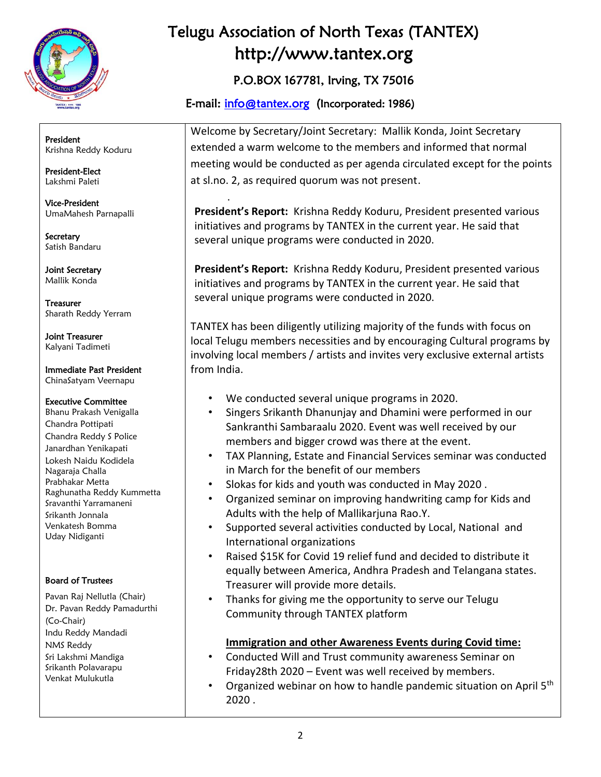

President Krishna Reddy Koduru

President-Elect Lakshmi Paleti

Vice-President UmaMahesh Parnapalli

Secretary Satish Bandaru

Joint Secretary Mallik Konda

Treasurer Sharath Reddy Yerram

Joint Treasurer Kalyani Tadimeti

Immediate Past President ChinaSatyam Veernapu

#### Executive Committee

Bhanu Prakash Venigalla Chandra Pottipati Chandra Reddy S Police Janardhan Yenikapati Lokesh Naidu Kodidela Nagaraja Challa Prabhakar Metta Raghunatha Reddy Kummetta Sravanthi Yarramaneni Srikanth Jonnala Venkatesh Bomma Uday Nidiganti

#### Board of Trustees

Pavan Raj Nellutla (Chair) Dr. Pavan Reddy Pamadurthi (Co-Chair) Indu Reddy Mandadi NMS Reddy Sri Lakshmi Mandiga Srikanth Polavarapu Venkat Mulukutla

# Telugu Association of North Texas (TANTEX) http://www.tantex.org

## P.O.BOX 167781, Irving, TX 75016

## E-mail: [info@tantex.org](about:blank) (Incorporated: 1986)

.

Welcome by Secretary/Joint Secretary: Mallik Konda, Joint Secretary extended a warm welcome to the members and informed that normal meeting would be conducted as per agenda circulated except for the points at sl.no. 2, as required quorum was not present.

**President's Report:** Krishna Reddy Koduru, President presented various initiatives and programs by TANTEX in the current year. He said that several unique programs were conducted in 2020.

**President's Report:** Krishna Reddy Koduru, President presented various initiatives and programs by TANTEX in the current year. He said that several unique programs were conducted in 2020.

TANTEX has been diligently utilizing majority of the funds with focus on local Telugu members necessities and by encouraging Cultural programs by involving local members / artists and invites very exclusive external artists from India.

- We conducted several unique programs in 2020.
- Singers Srikanth Dhanunjay and Dhamini were performed in our Sankranthi Sambaraalu 2020. Event was well received by our members and bigger crowd was there at the event.
- TAX Planning, Estate and Financial Services seminar was conducted in March for the benefit of our members
- Slokas for kids and youth was conducted in May 2020 .
- Organized seminar on improving handwriting camp for Kids and Adults with the help of Mallikarjuna Rao.Y.
- Supported several activities conducted by Local, National and International organizations
- Raised \$15K for Covid 19 relief fund and decided to distribute it equally between America, Andhra Pradesh and Telangana states. Treasurer will provide more details.
- Thanks for giving me the opportunity to serve our Telugu Community through TANTEX platform

### **Immigration and other Awareness Events during Covid time:**

- Conducted Will and Trust community awareness Seminar on Friday28th 2020 – Event was well received by members.
- Organized webinar on how to handle pandemic situation on April 5<sup>th</sup> 2020 .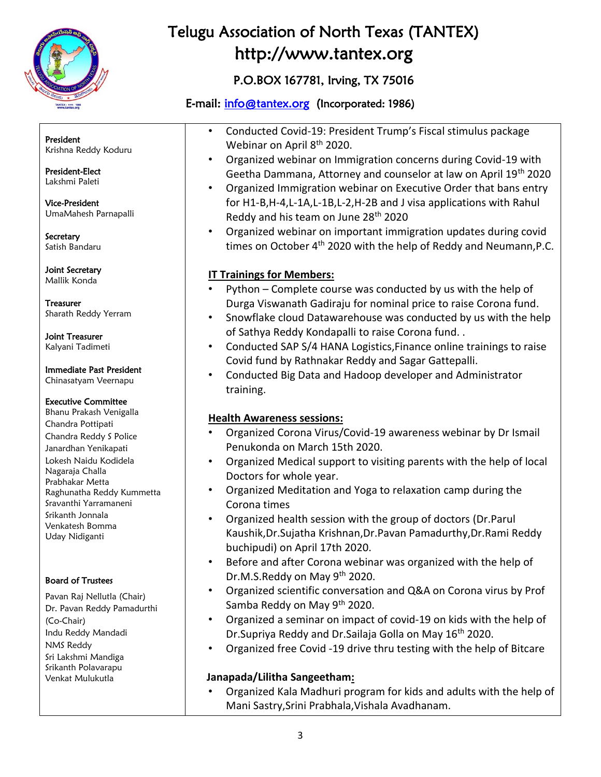

## P.O.BOX 167781, Irving, TX 75016

## E-mail: [info@tantex.org](about:blank) (Incorporated: 1986)

President Krishna Reddy Koduru

President-Elect Lakshmi Paleti

Vice-President UmaMahesh Parnapalli

Secretary Satish Bandaru

Joint Secretary Mallik Konda

Treasurer Sharath Reddy Yerram

Joint Treasurer Kalyani Tadimeti

#### Immediate Past President Chinasatyam Veernapu

#### Executive Committee

Bhanu Prakash Venigalla Chandra Pottipati Chandra Reddy S Police Janardhan Yenikapati Lokesh Naidu Kodidela Nagaraja Challa Prabhakar Metta Raghunatha Reddy Kummetta Sravanthi Yarramaneni Srikanth Jonnala Venkatesh Bomma Uday Nidiganti

### Board of Trustees

Pavan Raj Nellutla (Chair) Dr. Pavan Reddy Pamadurthi (Co-Chair) Indu Reddy Mandadi NMS Reddy Sri Lakshmi Mandiga Srikanth Polavarapu Venkat Mulukutla

- Conducted Covid-19: President Trump's Fiscal stimulus package Webinar on April 8<sup>th</sup> 2020.
- Organized webinar on Immigration concerns during Covid-19 with Geetha Dammana, Attorney and counselor at law on April 19th 2020
- Organized Immigration webinar on Executive Order that bans entry for H1-B,H-4,L-1A,L-1B,L-2,H-2B and J visa applications with Rahul Reddy and his team on June 28th 2020
- Organized webinar on important immigration updates during covid times on October  $4<sup>th</sup>$  2020 with the help of Reddy and Neumann, P.C.

### **IT Trainings for Members:**

- Python Complete course was conducted by us with the help of Durga Viswanath Gadiraju for nominal price to raise Corona fund.
- Snowflake cloud Datawarehouse was conducted by us with the help of Sathya Reddy Kondapalli to raise Corona fund. .
- Conducted SAP S/4 HANA Logistics,Finance online trainings to raise Covid fund by Rathnakar Reddy and Sagar Gattepalli.
- Conducted Big Data and Hadoop developer and Administrator training.

### **Health Awareness sessions:**

- Organized Corona Virus/Covid-19 awareness webinar by Dr Ismail Penukonda on March 15th 2020.
- Organized Medical support to visiting parents with the help of local Doctors for whole year.
- Organized Meditation and Yoga to relaxation camp during the Corona times
- Organized health session with the group of doctors (Dr.Parul Kaushik,Dr.Sujatha Krishnan,Dr.Pavan Pamadurthy,Dr.Rami Reddy buchipudi) on April 17th 2020.
- Before and after Corona webinar was organized with the help of Dr.M.S.Reddy on May 9<sup>th</sup> 2020.
- Organized scientific conversation and Q&A on Corona virus by Prof Samba Reddy on May 9<sup>th</sup> 2020.
- Organized a seminar on impact of covid-19 on kids with the help of Dr.Supriya Reddy and Dr.Sailaja Golla on May 16<sup>th</sup> 2020.
- Organized free Covid -19 drive thru testing with the help of Bitcare

### **Janapada/Lilitha Sangeetham:**

• Organized Kala Madhuri program for kids and adults with the help of Mani Sastry,Srini Prabhala,Vishala Avadhanam.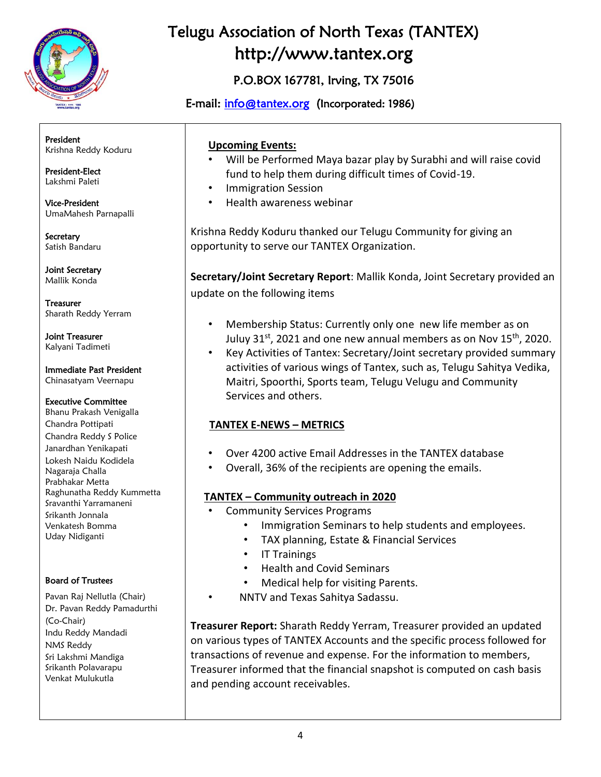

## P.O.BOX 167781, Irving, TX 75016

E-mail: [info@tantex.org](about:blank) (Incorporated: 1986)

President Krishna Reddy Koduru

President-Elect Lakshmi Paleti

Vice-President UmaMahesh Parnapalli

Secretary Satish Bandaru

Joint Secretary Mallik Konda

Treasurer Sharath Reddy Yerram

Joint Treasurer Kalyani Tadimeti

Immediate Past President Chinasatyam Veernapu

#### Executive Committee

Bhanu Prakash Venigalla Chandra Pottipati Chandra Reddy S Police Janardhan Yenikapati Lokesh Naidu Kodidela Nagaraja Challa Prabhakar Metta Raghunatha Reddy Kummetta Sravanthi Yarramaneni Srikanth Jonnala Venkatesh Bomma Uday Nidiganti

### Board of Trustees

Pavan Raj Nellutla (Chair) Dr. Pavan Reddy Pamadurthi (Co-Chair) Indu Reddy Mandadi NMS Reddy Sri Lakshmi Mandiga Srikanth Polavarapu Venkat Mulukutla

### **Upcoming Events:**

- Will be Performed Maya bazar play by Surabhi and will raise covid fund to help them during difficult times of Covid-19.
- Immigration Session
- Health awareness webinar

Krishna Reddy Koduru thanked our Telugu Community for giving an opportunity to serve our TANTEX Organization.

**Secretary/Joint Secretary Report**: Mallik Konda, Joint Secretary provided an update on the following items

- Membership Status: Currently only one new life member as on Juluy 31st, 2021 and one new annual members as on Nov 15<sup>th</sup>, 2020.
- Key Activities of Tantex: Secretary/Joint secretary provided summary activities of various wings of Tantex, such as, Telugu Sahitya Vedika, Maitri, Spoorthi, Sports team, Telugu Velugu and Community Services and others.

## **TANTEX E-NEWS – METRICS**

- Over 4200 active Email Addresses in the TANTEX database
- Overall, 36% of the recipients are opening the emails.

## **TANTEX – Community outreach in 2020**

- Community Services Programs
	- Immigration Seminars to help students and employees.
	- TAX planning, Estate & Financial Services
	- IT Trainings
	- Health and Covid Seminars
	- Medical help for visiting Parents.
	- NNTV and Texas Sahitya Sadassu.

**Treasurer Report:** Sharath Reddy Yerram, Treasurer provided an updated on various types of TANTEX Accounts and the specific process followed for transactions of revenue and expense. For the information to members, Treasurer informed that the financial snapshot is computed on cash basis and pending account receivables.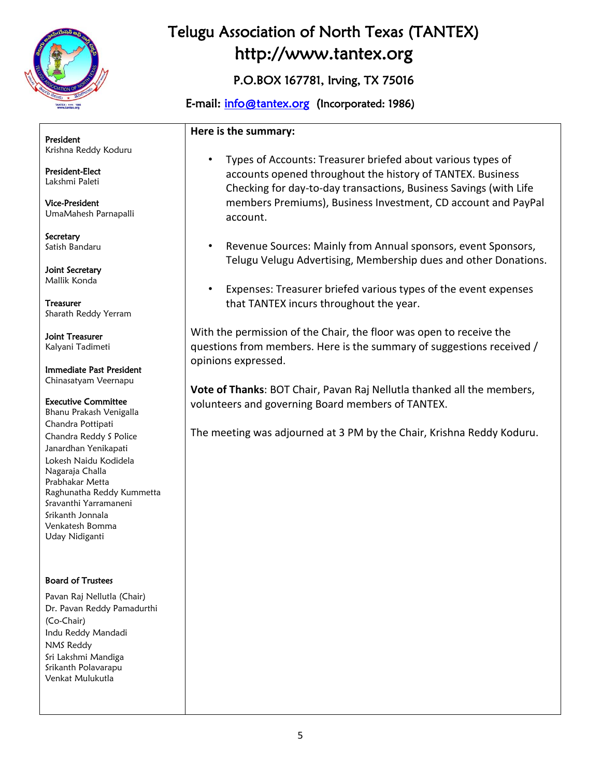

## P.O.BOX 167781, Irving, TX 75016

## E-mail: [info@tantex.org](about:blank) (Incorporated: 1986)

#### **Here is the summary:**

President Krishna Reddy Koduru

President-Elect Lakshmi Paleti

Vice-President UmaMahesh Parnapalli

Secretary Satish Bandaru

Joint Secretary Mallik Konda

Treasurer Sharath Reddy Yerram

Joint Treasurer Kalyani Tadimeti

Immediate Past President Chinasatyam Veernapu

#### Executive Committee

Bhanu Prakash Venigalla Chandra Pottipati Chandra Reddy S Police Janardhan Yenikapati Lokesh Naidu Kodidela Nagaraja Challa Prabhakar Metta Raghunatha Reddy Kummetta Sravanthi Yarramaneni Srikanth Jonnala Venkatesh Bomma Uday Nidiganti

#### Board of Trustees

Pavan Raj Nellutla (Chair) Dr. Pavan Reddy Pamadurthi (Co-Chair) Indu Reddy Mandadi NMS Reddy Sri Lakshmi Mandiga Srikanth Polavarapu Venkat Mulukutla

- Types of Accounts: Treasurer briefed about various types of accounts opened throughout the history of TANTEX. Business Checking for day-to-day transactions, Business Savings (with Life members Premiums), Business Investment, CD account and PayPal account.
- Revenue Sources: Mainly from Annual sponsors, event Sponsors, Telugu Velugu Advertising, Membership dues and other Donations.
- Expenses: Treasurer briefed various types of the event expenses that TANTEX incurs throughout the year.

With the permission of the Chair, the floor was open to receive the questions from members. Here is the summary of suggestions received / opinions expressed.

**Vote of Thanks**: BOT Chair, Pavan Raj Nellutla thanked all the members, volunteers and governing Board members of TANTEX.

The meeting was adjourned at 3 PM by the Chair, Krishna Reddy Koduru.